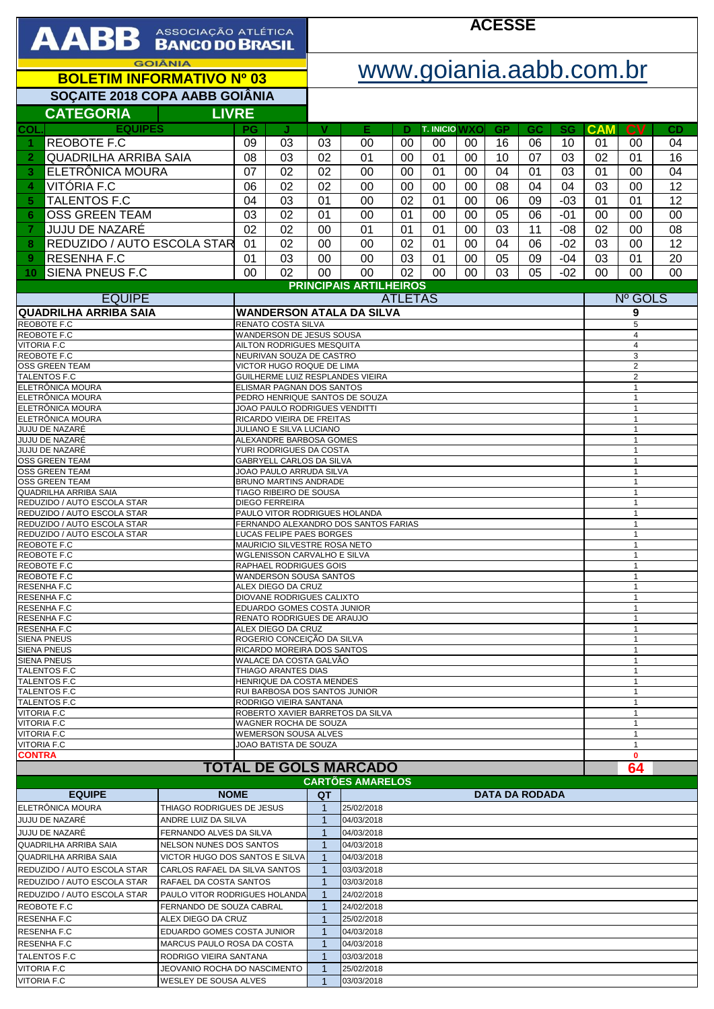| AABB ASSOCIAÇÃO ATLÉTICA                                                                                              |                                                |                                                                                  |                                                            | <b>ACESSE</b>                                              |                                  |    |                      |    |                       |           |           |                                  |                              |                              |  |  |  |
|-----------------------------------------------------------------------------------------------------------------------|------------------------------------------------|----------------------------------------------------------------------------------|------------------------------------------------------------|------------------------------------------------------------|----------------------------------|----|----------------------|----|-----------------------|-----------|-----------|----------------------------------|------------------------------|------------------------------|--|--|--|
| <b>GOIÂNIA</b><br><b>BOLETIM INFORMATIVO Nº 03</b>                                                                    |                                                |                                                                                  |                                                            | www.goiania.aabb.com.br                                    |                                  |    |                      |    |                       |           |           |                                  |                              |                              |  |  |  |
| SOÇAITE 2018 COPA AABB GOIÂNIA                                                                                        |                                                |                                                                                  |                                                            |                                                            |                                  |    |                      |    |                       |           |           |                                  |                              |                              |  |  |  |
| <b>CATEGORIA</b><br><b>LIVRE</b>                                                                                      |                                                |                                                                                  |                                                            |                                                            |                                  |    |                      |    |                       |           |           |                                  |                              |                              |  |  |  |
| <b>EQUIPES</b><br>COL.                                                                                                |                                                | PG                                                                               | J.                                                         | V                                                          | Е                                | D  | <b>T. INICIO WXO</b> |    | <b>GP</b>             | <b>GC</b> | <b>SG</b> | <b>CAM</b>                       | $\mathbf{C}$                 | CD                           |  |  |  |
| <b>REOBOTE F.C</b><br>1                                                                                               |                                                | 09                                                                               | 03                                                         | 03                                                         | 00                               | 00 | 00                   | 00 | 16                    | 06        | 10        | 01                               | 00                           | 04                           |  |  |  |
| <b>QUADRILHA ARRIBA SAIA</b><br>$\overline{2}$                                                                        |                                                | 08                                                                               | 03                                                         | 02                                                         | 01                               | 00 | 01                   | 00 | 10                    | 07        | 03        | 02                               | 01                           | 16                           |  |  |  |
| ELETRÔNICA MOURA<br>3                                                                                                 |                                                | 07                                                                               | 02                                                         | 02                                                         | 00                               | 00 | 01                   | 00 | 04                    | 01        | 03        | 01                               | 00                           | 04                           |  |  |  |
| VITÓRIA F.C<br>4                                                                                                      |                                                | 06                                                                               | 02                                                         | 02                                                         | 00                               | 00 | 00                   | 00 | 08                    | 04        | 04        | 03                               | 00                           | 12                           |  |  |  |
| <b>TALENTOS F.C</b><br>5                                                                                              |                                                | 04                                                                               | 03                                                         | 01                                                         | 00                               | 02 | 01                   | 00 | 06                    | 09        | $-03$     | 01                               | 01                           | 12                           |  |  |  |
| <b>OSS GREEN TEAM</b><br>6                                                                                            |                                                | 03                                                                               | 02                                                         | 01                                                         | 00                               | 01 | 00                   | 00 | 05                    | 06        | $-01$     | 00                               | 00                           | 00                           |  |  |  |
| JUJU DE NAZARÉ<br>7                                                                                                   |                                                | 02                                                                               | 02                                                         | 00                                                         | 01                               | 01 | 01                   | 00 | 03                    | 11        | $-08$     | 02                               | 00                           | 08                           |  |  |  |
| REDUZIDO / AUTO ESCOLA STAR<br>8                                                                                      |                                                | 01                                                                               | 02                                                         | 00                                                         | 00                               | 02 | 01                   | 00 | 04                    | 06        | $-02$     | 03                               | 00                           | 12                           |  |  |  |
| <b>RESENHA F.C</b><br>9<br><b>SIENA PNEUS F.C</b>                                                                     |                                                | 01                                                                               | 03                                                         | 00                                                         | 00                               | 03 | 01                   | 00 | 05                    | 09        | $-04$     | 03                               | 01                           | 20                           |  |  |  |
| 10                                                                                                                    |                                                | 00                                                                               | 02                                                         | 00                                                         | 00                               | 02 | 00                   | 00 | 03                    | 05        | $-02$     | 00                               | 00                           | 00                           |  |  |  |
| <b>EQUIPE</b>                                                                                                         |                                                |                                                                                  |                                                            | <b>PRINCIPAIS ARTILHEIROS</b><br>Nº GOLS<br><b>ATLETAS</b> |                                  |    |                      |    |                       |           |           |                                  |                              |                              |  |  |  |
| <b>QUADRILHA ARRIBA SAIA</b>                                                                                          |                                                |                                                                                  |                                                            |                                                            | <b>WANDERSON ATALA DA SILVA</b>  |    |                      |    |                       |           |           | 9                                |                              |                              |  |  |  |
| <b>REOBOTE F.C</b>                                                                                                    |                                                |                                                                                  | RENATO COSTA SILVA                                         |                                                            |                                  |    |                      |    |                       |           |           | 5                                |                              |                              |  |  |  |
| REOBOTE F.C<br><b>VITORIA F.C</b>                                                                                     |                                                |                                                                                  | WANDERSON DE JESUS SOUSA                                   |                                                            |                                  |    |                      |    |                       |           |           | $\overline{4}$<br>4              |                              |                              |  |  |  |
| REOBOTE F.C                                                                                                           |                                                | AILTON RODRIGUES MESQUITA<br>NEURIVAN SOUZA DE CASTRO                            |                                                            |                                                            |                                  |    |                      |    |                       |           |           |                                  | 3                            |                              |  |  |  |
| OSS GREEN TEAM<br>TALENTOS F.C                                                                                        |                                                |                                                                                  | VICTOR HUGO ROQUE DE LIMA                                  |                                                            | GUILHERME LUIZ RESPLANDES VIEIRA |    |                      |    |                       |           |           | $\overline{2}$<br>$\overline{c}$ |                              |                              |  |  |  |
| ELETRÔNICA MOURA                                                                                                      |                                                |                                                                                  | ELISMAR PAGNAN DOS SANTOS                                  |                                                            |                                  |    |                      |    |                       |           |           | $\mathbf{1}$                     |                              |                              |  |  |  |
| ELETRÔNICA MOURA                                                                                                      |                                                |                                                                                  | PEDRO HENRIQUE SANTOS DE SOUZA                             |                                                            |                                  |    |                      |    |                       |           |           |                                  |                              | $\mathbf{1}$<br>$\mathbf{1}$ |  |  |  |
| ELETRÔNICA MOURA<br>ELETRÔNICA MOURA                                                                                  |                                                |                                                                                  | JOAO PAULO RODRIGUES VENDITTI<br>RICARDO VIEIRA DE FREITAS |                                                            |                                  |    |                      |    |                       |           |           |                                  |                              | $\mathbf{1}$                 |  |  |  |
| JUJU DE NAZARÉ                                                                                                        |                                                |                                                                                  | JULIANO E SILVA LUCIANO<br>ALEXANDRE BARBOSA GOMES         |                                                            |                                  |    |                      |    |                       |           |           |                                  |                              | $\mathbf{1}$<br>$\mathbf{1}$ |  |  |  |
| JUJU DE NAZARÉ<br>JUJU DE NAZARÉ                                                                                      |                                                |                                                                                  | YURI RODRIGUES DA COSTA<br>$\mathbf{1}$                    |                                                            |                                  |    |                      |    |                       |           |           |                                  |                              |                              |  |  |  |
| <b>OSS GREEN TEAM</b>                                                                                                 |                                                |                                                                                  | GABRYELL CARLOS DA SILVA<br>$\mathbf{1}$                   |                                                            |                                  |    |                      |    |                       |           |           |                                  |                              |                              |  |  |  |
| <b>OSS GREEN TEAM</b><br><b>OSS GREEN TEAM</b>                                                                        |                                                | JOAO PAULO ARRUDA SILVA<br>$\mathbf{1}$<br>BRUNO MARTINS ANDRADE<br>$\mathbf{1}$ |                                                            |                                                            |                                  |    |                      |    |                       |           |           |                                  |                              |                              |  |  |  |
| <b>QUADRILHA ARRIBA SAIA</b>                                                                                          |                                                |                                                                                  | TIAGO RIBEIRO DE SOUSA<br>$\mathbf{1}$                     |                                                            |                                  |    |                      |    |                       |           |           |                                  |                              |                              |  |  |  |
| REDUZIDO / AUTO ESCOLA STAR<br>REDUZIDO / AUTO ESCOLA STAR                                                            |                                                | <b>DIEGO FERREIRA</b><br>PAULO VITOR RODRIGUES HOLANDA                           |                                                            |                                                            |                                  |    |                      |    |                       |           |           |                                  | $\mathbf{1}$<br>1            |                              |  |  |  |
| REDUZIDO / AUTO ESCOLA STAR                                                                                           |                                                | FERNANDO ALEXANDRO DOS SANTOS FARIAS                                             |                                                            |                                                            |                                  |    |                      |    |                       |           |           |                                  | $\mathbf{1}$                 |                              |  |  |  |
| REDUZIDO / AUTO ESCOLA STAR<br>REOBOTE F.C                                                                            |                                                | <b>LUCAS FELIPE PAES BORGES</b><br>MAURICIO SILVESTRE ROSA NETO                  |                                                            |                                                            |                                  |    |                      |    |                       |           |           |                                  | $\mathbf{1}$<br>$\mathbf{1}$ |                              |  |  |  |
| REOBOTE F.C                                                                                                           |                                                | WGLENISSON CARVALHO E SILVA                                                      |                                                            |                                                            |                                  |    |                      |    |                       |           |           |                                  | 1                            |                              |  |  |  |
| REOBOTE F.C<br>REOBOTE F.C                                                                                            |                                                | RAPHAEL RODRIGUES GOIS<br><b>WANDERSON SOUSA SANTOS</b>                          |                                                            |                                                            |                                  |    |                      |    |                       |           |           |                                  | $\mathbf{1}$<br>1            |                              |  |  |  |
| RESENHA F.C                                                                                                           |                                                | ALEX DIEGO DA CRUZ                                                               |                                                            |                                                            |                                  |    |                      |    |                       |           |           |                                  | $\mathbf{1}$                 |                              |  |  |  |
| <b>RESENHA F.C</b>                                                                                                    |                                                | <b>DIOVANE RODRIGUES CALIXTO</b>                                                 |                                                            |                                                            |                                  |    |                      |    |                       |           |           |                                  | $\mathbf{1}$<br>$\mathbf{1}$ |                              |  |  |  |
| <b>RESENHA F.C</b><br><b>RESENHA F.C</b>                                                                              |                                                | EDUARDO GOMES COSTA JUNIOR<br>RENATO RODRIGUES DE ARAUJO                         |                                                            |                                                            |                                  |    |                      |    |                       |           |           |                                  | 1                            |                              |  |  |  |
| <b>RESENHA F.C</b>                                                                                                    |                                                |                                                                                  | ALEX DIEGO DA CRUZ                                         |                                                            |                                  |    |                      |    |                       |           |           |                                  |                              | 1                            |  |  |  |
| <b>SIENA PNEUS</b><br><b>SIENA PNEUS</b>                                                                              |                                                | ROGERIO CONCEIÇÃO DA SILVA<br>RICARDO MOREIRA DOS SANTOS                         |                                                            |                                                            |                                  |    |                      |    |                       |           |           |                                  | 1<br>$\mathbf{1}$            |                              |  |  |  |
| <b>SIENA PNEUS</b>                                                                                                    |                                                | WALACE DA COSTA GALVÃO                                                           |                                                            |                                                            |                                  |    |                      |    |                       |           |           |                                  | 1                            |                              |  |  |  |
| <b>TALENTOS F.C</b><br><b>TALENTOS F.C</b>                                                                            |                                                |                                                                                  | THIAGO ARANTES DIAS<br>HENRIQUE DA COSTA MENDES            | $\mathbf{1}$<br>$\mathbf{1}$                               |                                  |    |                      |    |                       |           |           |                                  |                              |                              |  |  |  |
| <b>TALENTOS F.C</b>                                                                                                   |                                                |                                                                                  | RUI BARBOSA DOS SANTOS JUNIOR                              |                                                            |                                  |    |                      |    |                       |           |           |                                  | 1                            |                              |  |  |  |
| <b>TALENTOS F.C</b><br><b>VITORIA F.C</b>                                                                             |                                                | RODRIGO VIEIRA SANTANA<br>ROBERTO XAVIER BARRETOS DA SILVA                       |                                                            |                                                            |                                  |    |                      |    |                       |           |           |                                  | $\mathbf{1}$<br>$\mathbf{1}$ |                              |  |  |  |
| <b>VITORIA F.C</b>                                                                                                    |                                                |                                                                                  | WAGNER ROCHA DE SOUZA                                      |                                                            |                                  |    |                      |    |                       |           |           | $\mathbf{1}$                     |                              |                              |  |  |  |
| <b>VITORIA F.C</b><br><b>VITORIA F.C</b>                                                                              |                                                |                                                                                  | WEMERSON SOUSA ALVES                                       |                                                            |                                  |    |                      |    |                       |           |           |                                  | $\mathbf{1}$                 |                              |  |  |  |
| <b>CONTRA</b>                                                                                                         | JOAO BATISTA DE SOUZA                          |                                                                                  |                                                            |                                                            | $\mathbf{1}$<br>$\mathbf{0}$     |    |                      |    |                       |           |           |                                  |                              |                              |  |  |  |
| <b>TOTAL DE GOLS MARCADO</b>                                                                                          |                                                |                                                                                  |                                                            |                                                            | 64<br><b>CARTÕES AMARELOS</b>    |    |                      |    |                       |           |           |                                  |                              |                              |  |  |  |
| <b>EQUIPE</b>                                                                                                         | <b>NOME</b>                                    |                                                                                  |                                                            | QT                                                         |                                  |    |                      |    | <b>DATA DA RODADA</b> |           |           |                                  |                              |                              |  |  |  |
| ELETRÔNICA MOURA                                                                                                      |                                                | THIAGO RODRIGUES DE JESUS                                                        |                                                            |                                                            | 25/02/2018                       |    |                      |    |                       |           |           |                                  |                              |                              |  |  |  |
| <b>JUJU DE NAZARÊ</b><br>JUJU DE NAZARÉ                                                                               | ANDRE LUIZ DA SILVA<br>FERNANDO ALVES DA SILVA |                                                                                  | 1<br>1                                                     | 04/03/2018<br>04/03/2018                                   |                                  |    |                      |    |                       |           |           |                                  |                              |                              |  |  |  |
| <b>QUADRILHA ARRIBA SAIA</b><br>NELSON NUNES DOS SANTOS                                                               |                                                |                                                                                  |                                                            | $\mathbf 1$                                                | 04/03/2018                       |    |                      |    |                       |           |           |                                  |                              |                              |  |  |  |
| <b>QUADRILHA ARRIBA SAIA</b><br>VICTOR HUGO DOS SANTOS E SILVA                                                        |                                                |                                                                                  |                                                            | 04/03/2018<br>1                                            |                                  |    |                      |    |                       |           |           |                                  |                              |                              |  |  |  |
| REDUZIDO / AUTO ESCOLA STAR<br>CARLOS RAFAEL DA SILVA SANTOS                                                          |                                                |                                                                                  |                                                            | 03/03/2018<br>1                                            |                                  |    |                      |    |                       |           |           |                                  |                              |                              |  |  |  |
| REDUZIDO / AUTO ESCOLA STAR<br>RAFAEL DA COSTA SANTOS<br>REDUZIDO / AUTO ESCOLA STAR<br>PAULO VITOR RODRIGUES HOLANDA |                                                |                                                                                  |                                                            | 03/03/2018<br>$\mathbf 1$                                  |                                  |    |                      |    |                       |           |           |                                  |                              |                              |  |  |  |
| REOBOTE F.C<br>FERNANDO DE SOUZA CABRAL                                                                               |                                                |                                                                                  |                                                            | 24/02/2018<br>1<br>24/02/2018                              |                                  |    |                      |    |                       |           |           |                                  |                              |                              |  |  |  |
| ALEX DIEGO DA CRUZ<br><b>RESENHA F.C</b>                                                                              |                                                |                                                                                  |                                                            | 25/02/2018                                                 |                                  |    |                      |    |                       |           |           |                                  |                              |                              |  |  |  |
| <b>RESENHA F.C</b><br>EDUARDO GOMES COSTA JUNIOR                                                                      |                                                |                                                                                  |                                                            | 04/03/2018<br>$\mathbf 1$                                  |                                  |    |                      |    |                       |           |           |                                  |                              |                              |  |  |  |
| <b>RESENHA F.C</b><br>MARCUS PAULO ROSA DA COSTA                                                                      |                                                |                                                                                  |                                                            | 04/03/2018                                                 |                                  |    |                      |    |                       |           |           |                                  |                              |                              |  |  |  |
| TALENTOS F.C<br>RODRIGO VIEIRA SANTANA<br><b>VITORIA F.C</b><br>JEOVANIO ROCHA DO NASCIMENTO                          |                                                |                                                                                  |                                                            | 03/03/2018<br>1<br>25/02/2018<br>$\mathbf 1$               |                                  |    |                      |    |                       |           |           |                                  |                              |                              |  |  |  |
| <b>VITORIA F.C</b><br>WESLEY DE SOUSA ALVES                                                                           |                                                |                                                                                  |                                                            | 03/03/2018                                                 |                                  |    |                      |    |                       |           |           |                                  |                              |                              |  |  |  |

 $\overline{1}$